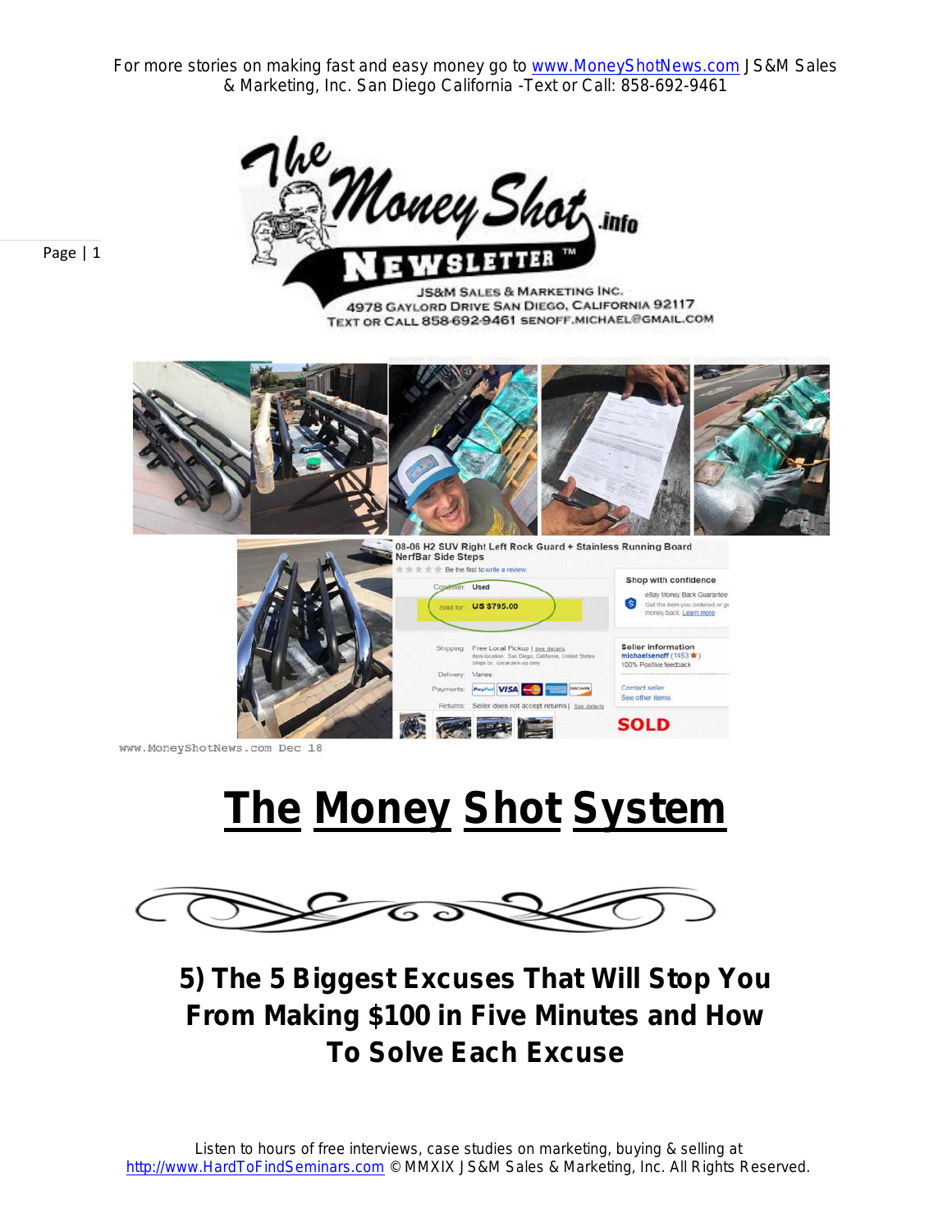

Page | 1

**JS&M SALES & MARKETING INC.** 4978 GAYLORD DRIVE SAN DIEGO, CALIFORNIA 92117 TEXT OR CALL 858-692-9461 SENOFF MICHAEL@GMAIL.COM



www.MoneyShotNews.com Dec 18

# **The Money Shot System**



**5) The 5 Biggest Excuses That Will Stop You From Making \$100 in Five Minutes and How To Solve Each Excuse**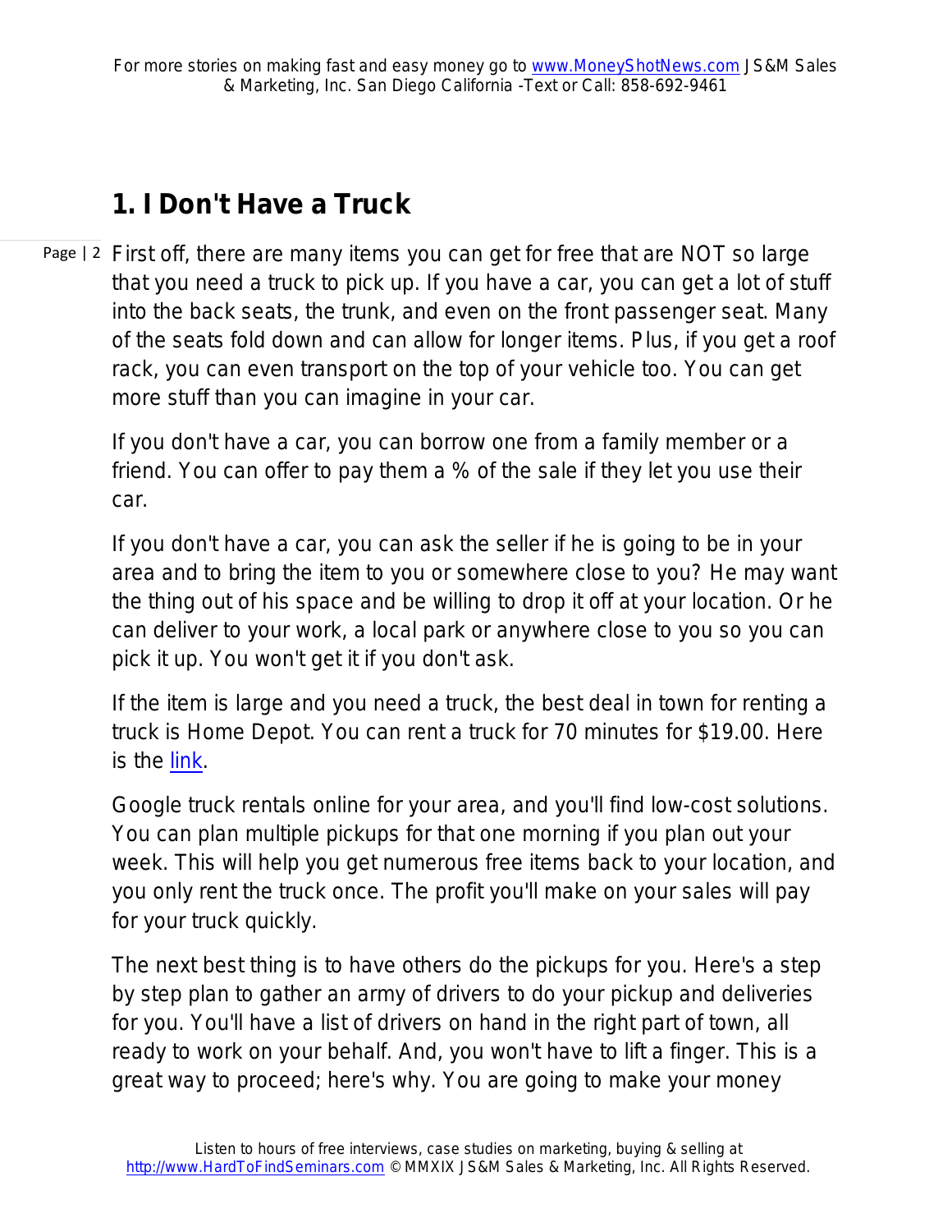## **1. I Don't Have a Truck**

Page | 2 First off, there are many items you can get for free that are NOT so large that you need a truck to pick up. If you have a car, you can get a lot of stuff into the back seats, the trunk, and even on the front passenger seat. Many of the seats fold down and can allow for longer items. Plus, if you get a roof rack, you can even transport on the top of your vehicle too. You can get more stuff than you can imagine in your car.

If you don't have a car, you can borrow one from a family member or a friend. You can offer to pay them a % of the sale if they let you use their car.

If you don't have a car, you can ask the seller if he is going to be in your area and to bring the item to you or somewhere close to you? He may want the thing out of his space and be willing to drop it off at your location. Or he can deliver to your work, a local park or anywhere close to you so you can pick it up. You won't get it if you don't ask.

If the item is large and you need a truck, the best deal in town for renting a truck is Home Depot. You can rent a truck for 70 minutes for \$19.00. Here is the [link.](https://www.homedepot.com/c/Truck_Rental?cm_mmc=G_B_THDR_TTV_PACIFIC_SOUTH_E%20&BZID=18483118&cm_mmc=%7c%7c%7c&gclid=CjwKCAjwlujnBRBlEiwAuWx4LcHUpN52xPQs6fZacEFlGIn_1Z_gZfdYQUxp0XuDCC8CqO-IeuMUmRoCLfYQAvD_BwE&gclsrc=aw.ds)

Google truck rentals online for your area, and you'll find low-cost solutions. You can plan multiple pickups for that one morning if you plan out your week. This will help you get numerous free items back to your location, and you only rent the truck once. The profit you'll make on your sales will pay for your truck quickly.

The next best thing is to have others do the pickups for you. Here's a step by step plan to gather an army of drivers to do your pickup and deliveries for you. You'll have a list of drivers on hand in the right part of town, all ready to work on your behalf. And, you won't have to lift a finger. This is a great way to proceed; here's why. You are going to make your money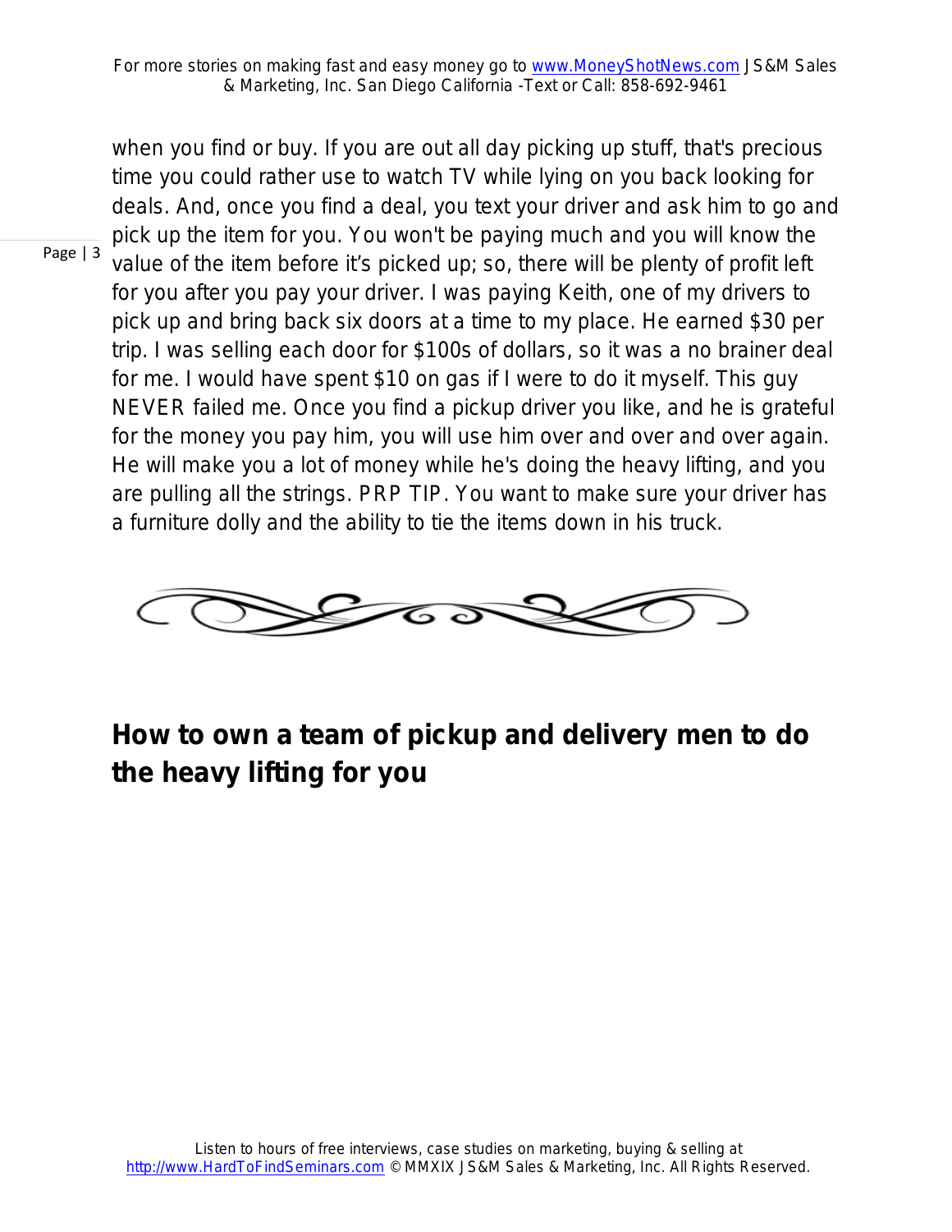when you find or buy. If you are out all day picking up stuff, that's precious time you could rather use to watch TV while lying on you back looking for deals. And, once you find a deal, you text your driver and ask him to go and pick up the item for you. You won't be paying much and you will know the value of the item before it's picked up; so, there will be plenty of profit left for you after you pay your driver. I was paying Keith, one of my drivers to pick up and bring back six doors at a time to my place. He earned \$30 per trip. I was selling each door for \$100s of dollars, so it was a no brainer deal for me. I would have spent \$10 on gas if I were to do it myself. This guy NEVER failed me. Once you find a pickup driver you like, and he is grateful for the money you pay him, you will use him over and over and over again. He will make you a lot of money while he's doing the heavy lifting, and you are pulling all the strings. PRP TIP. You want to make sure your driver has a furniture dolly and the ability to tie the items down in his truck.



## **How to own a team of pickup and delivery men to do the heavy lifting for you**

#### Page | 3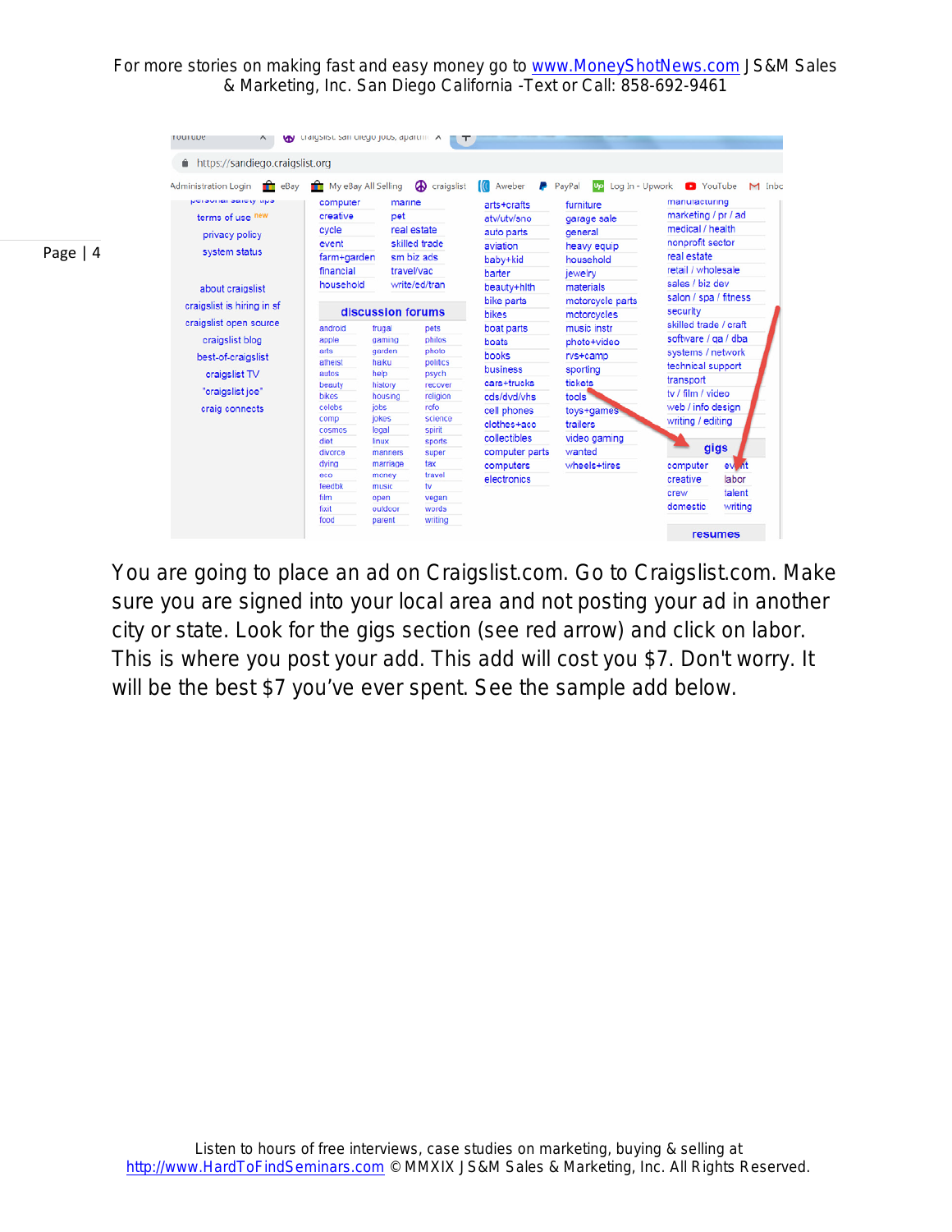|           | https://sandiego.craigslist.org                          |                                            |                   |                  |                                                      |                            |                                                                                                                     |  |  |
|-----------|----------------------------------------------------------|--------------------------------------------|-------------------|------------------|------------------------------------------------------|----------------------------|---------------------------------------------------------------------------------------------------------------------|--|--|
|           | <b>Administration Login</b><br>eBay<br><b>TELEVISION</b> | My eBay All Selling<br><b>A</b> craigslist |                   |                  |                                                      |                            | Log In - Upwork<br>YouTube<br>M Inbc                                                                                |  |  |
|           | personial salety tips                                    | computer                                   | marine            |                  | arts+crafts<br>atv/utv/sno<br>auto parts<br>aviation | furniture                  | manuracturing                                                                                                       |  |  |
|           | terms of use new                                         | creative                                   | pet               |                  |                                                      | garage sale                | marketing / pr / ad<br>medical / health<br>nonprofit sector<br>real estate<br>retail / wholesale<br>sales / biz dev |  |  |
|           |                                                          | cycle                                      |                   | real estate      |                                                      | general                    |                                                                                                                     |  |  |
|           | privacy policy                                           | event                                      |                   | skilled trade    |                                                      |                            |                                                                                                                     |  |  |
| Page $ 4$ | system status                                            | farm+garden                                |                   | sm biz ads       |                                                      | heavy equip                |                                                                                                                     |  |  |
|           |                                                          | financial                                  | travel/vac        |                  | baby+kid                                             | household                  |                                                                                                                     |  |  |
|           |                                                          |                                            |                   |                  | barter                                               | jewelry                    |                                                                                                                     |  |  |
|           | about craigslist                                         | household                                  |                   | write/ed/tran    | beauty+hlth                                          | materials                  |                                                                                                                     |  |  |
|           | craigslist is hiring in sf                               | discussion forums                          |                   |                  | bike parts<br>bikes                                  | motorcycle parts           | salon / spa / fitness                                                                                               |  |  |
|           |                                                          |                                            |                   |                  |                                                      | motorcycles                | security                                                                                                            |  |  |
|           | craigslist open source                                   | android                                    | frugal            | pets             | boat parts                                           | music instr<br>photo+video | skilled trade / craft<br>software / qa / dba<br>systems / network                                                   |  |  |
|           | craigslist blog                                          | apple                                      | gaming            | philos           | boats                                                |                            |                                                                                                                     |  |  |
|           | best-of-craigslist                                       | arts                                       | garden            | photo            | books                                                | rvs+camp                   |                                                                                                                     |  |  |
|           |                                                          | atheist                                    | haiku             | politics         | business                                             | sporting                   | technical support                                                                                                   |  |  |
|           | craigslist TV                                            | autos                                      | help              | psych            | cars+trucks                                          |                            | transport                                                                                                           |  |  |
|           | "craigslist joe"                                         | beauty                                     | history           | recover          |                                                      | tickets                    | ty / film / video                                                                                                   |  |  |
|           |                                                          | bikes<br>celebs                            | housing<br>jobs   | religion<br>rofo | cds/dvd/vhs                                          | tools                      | web / info design                                                                                                   |  |  |
|           | craig connects                                           | comp                                       | jokes             | science          | cell phones                                          | toys+games                 |                                                                                                                     |  |  |
|           |                                                          | cosmos                                     | legal             | spirit           | clothes+acc                                          | trailers                   | writing / editing                                                                                                   |  |  |
|           |                                                          | diet                                       | linux             | sports           | collectibles                                         | video gaming               |                                                                                                                     |  |  |
|           |                                                          | divorce                                    | manners           | super            | computer parts                                       | wanted                     | gigs                                                                                                                |  |  |
|           |                                                          | dying                                      | marriage          | tax              | computers                                            | wheels+tires               | computer<br>event                                                                                                   |  |  |
|           |                                                          | $_{\rm eco}$                               | money             | travel           | electronics                                          |                            | labor<br>creative                                                                                                   |  |  |
|           |                                                          | feedbk                                     | music             | tv.              |                                                      |                            | talent<br>crew                                                                                                      |  |  |
|           |                                                          | film                                       | open              | vegan            |                                                      |                            | domestic<br>writing                                                                                                 |  |  |
|           |                                                          | fixit<br>food                              | outdoor<br>parent | words<br>writing |                                                      |                            |                                                                                                                     |  |  |

You are going to place an ad on Craigslist.com. Go to Craigslist.com. Make sure you are signed into your local area and not posting your ad in another city or state. Look for the gigs section (see red arrow) and click on labor. This is where you post your add. This add will cost you \$7. Don't worry. It will be the best \$7 you've ever spent. See the sample add below.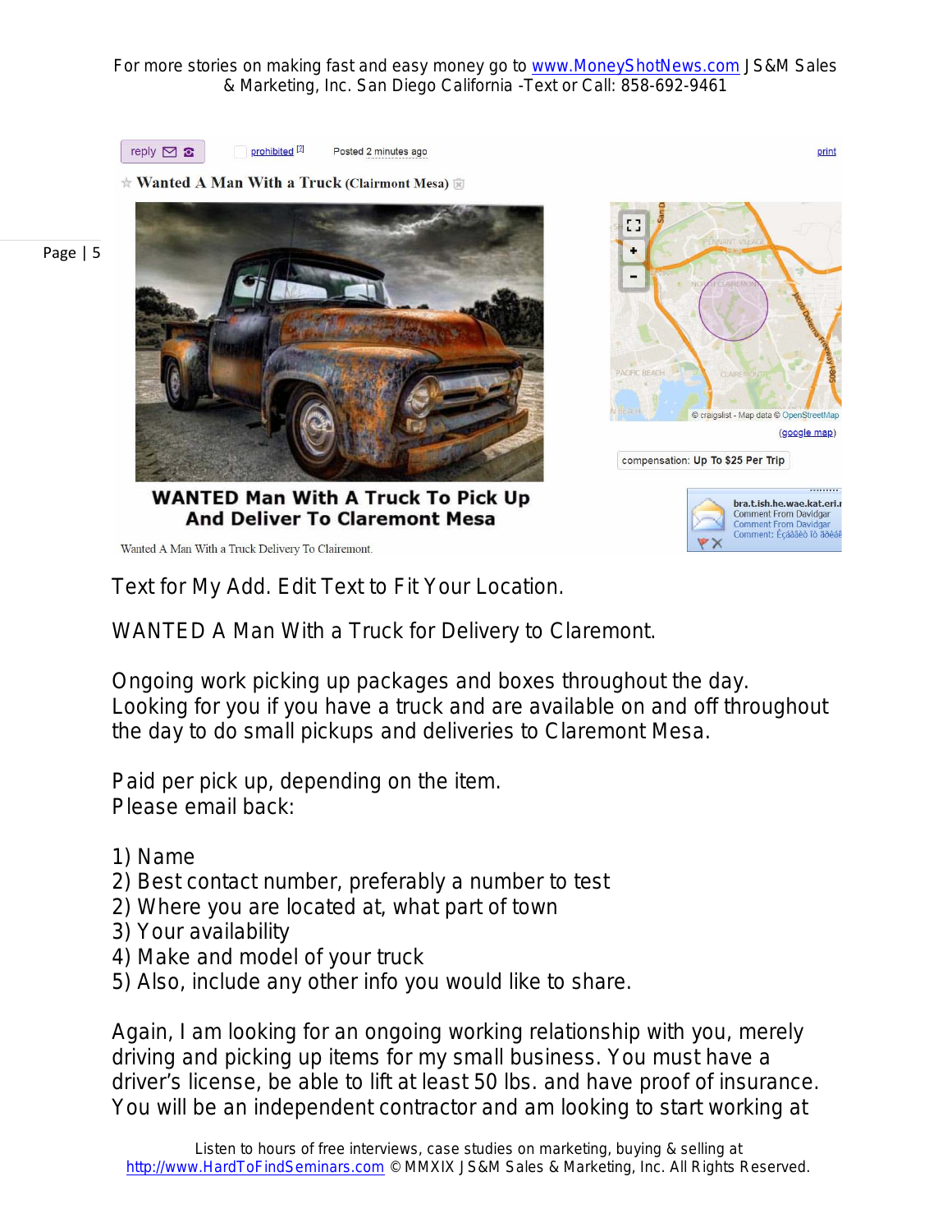> EG. ٠

> > aigslist - Map data

compensation: Up To \$25 Per Trip

(google map)

bra.t.ish.he.wae.kat.eri.r Comment From Davidgar

Comment From Davidgar<br>Comment: Eçáàâêò îò ãõèá



prohibited<sup>[2]</sup> Posted 2 minutes ago

**★ Wanted A Man With a Truck (Clairmont Mesa)** 3

Page | 5



**WANTED Man With A Truck To Pick Up And Deliver To Claremont Mesa** 

Wanted A Man With a Truck Delivery To Clairemont.

Text for My Add. Edit Text to Fit Your Location.

WANTED A Man With a Truck for Delivery to Claremont.

Ongoing work picking up packages and boxes throughout the day. Looking for you if you have a truck and are available on and off throughout the day to do small pickups and deliveries to Claremont Mesa.

Paid per pick up, depending on the item. Please email back:

- 1) Name
- 2) Best contact number, preferably a number to test
- 2) Where you are located at, what part of town
- 3) Your availability
- 4) Make and model of your truck
- 5) Also, include any other info you would like to share.

Again, I am looking for an ongoing working relationship with you, merely driving and picking up items for my small business. You must have a driver's license, be able to lift at least 50 lbs. and have proof of insurance. You will be an independent contractor and am looking to start working at

print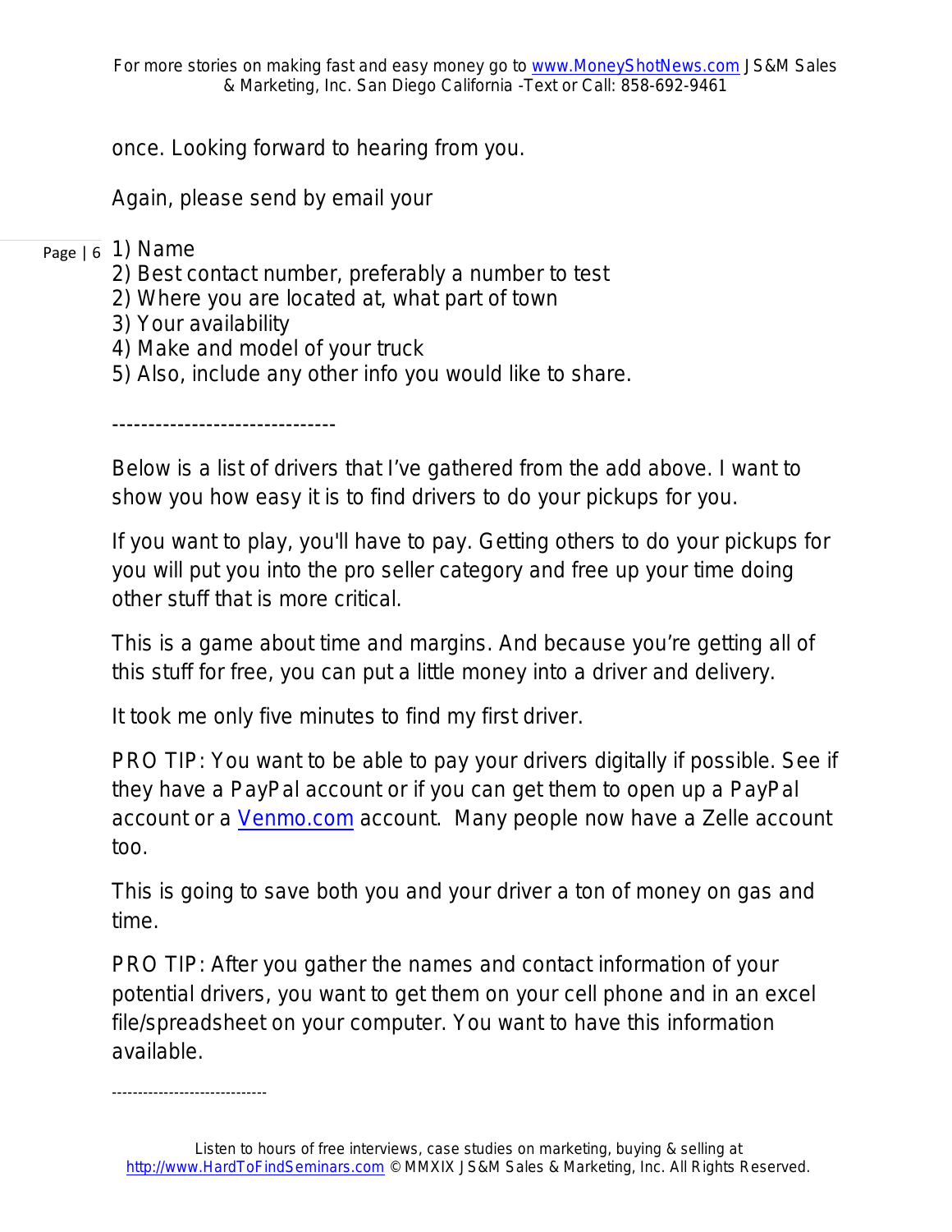once. Looking forward to hearing from you.

Again, please send by email your

### <sub>Page | 6</sub> 1) Name

- 2) Best contact number, preferably a number to test
- 2) Where you are located at, what part of town
- 3) Your availability
- 4) Make and model of your truck
- 5) Also, include any other info you would like to share.

-------------------------------

Below is a list of drivers that I've gathered from the add above. I want to show you how easy it is to find drivers to do your pickups for you.

*If you want to play, you'll have to pay*. Getting others to do your pickups for you will put you into the pro seller category and free up your time doing other stuff that is more critical.

This is a game about time and margins. And because you're getting all of this stuff for free, you can put a little money into a driver and delivery.

It took me only five minutes to find my first driver.

PRO TIP: You want to be able to pay your drivers digitally if possible. See if they have a PayPal account or if you can get them to open up a PayPal account or a [Venmo.com](https://venmo.com/) account. Many people now have a Zelle account too.

This is going to save both you and your driver a ton of money on gas and time.

PRO TIP: After you gather the names and contact information of your potential drivers, you want to get them on your cell phone and in an excel file/spreadsheet on your computer. You want to have this information available.

*------------------------------*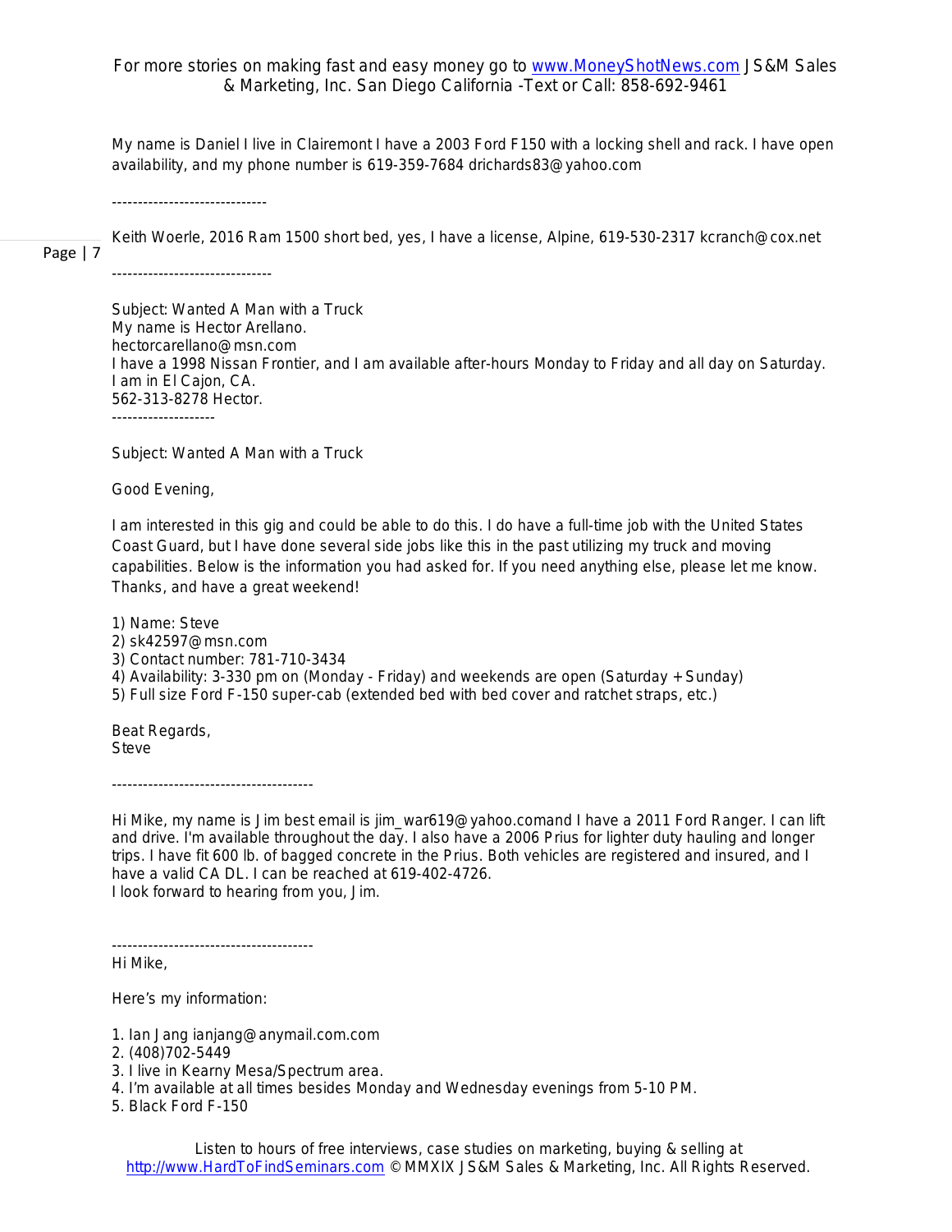*My name is Daniel I live in Clairemont I have a 2003 Ford F150 with a locking shell and rack. I have open availability, and my phone number is 619-359-7684 drichards83@yahoo.com*

*------------------------------*

Page | 7 *Keith Woerle, 2016 Ram 1500 short bed, yes, I have a license, Alpine, 619-530-2317 kcranch@cox.net*

*-------------------------------*

*Subject: Wanted A Man with a Truck My name is Hector Arellano. hectorcarellano@msn.com I have a 1998 Nissan Frontier, and I am available after-hours Monday to Friday and all day on Saturday. I am in El Cajon, CA. 562-313-8278 Hector. --------------------*

*Subject: Wanted A Man with a Truck*

*Good Evening,*

*I am interested in this gig and could be able to do this. I do have a full-time job with the United States Coast Guard, but I have done several side jobs like this in the past utilizing my truck and moving capabilities. Below is the information you had asked for. If you need anything else, please let me know. Thanks, and have a great weekend!*

*1) Name: Steve 2) sk42597@msn.com 3) Contact number: 781-710-3434 4) Availability: 3-330 pm on (Monday - Friday) and weekends are open (Saturday + Sunday) 5) Full size Ford F-150 super-cab (extended bed with bed cover and ratchet straps, etc.)*

*Beat Regards, Steve*

*Hi Mike, my name is Jim best email is jim\_war619@yahoo.comand I have a 2011 Ford Ranger. I can lift and drive. I'm available throughout the day. I also have a 2006 Prius for lighter duty hauling and longer* 

*trips. I have fit 600 lb. of bagged concrete in the Prius. Both vehicles are registered and insured, and I have a valid CA DL. I can be reached at 619-402-4726. I look forward to hearing from you, Jim.*

*---------------------------------------*

*---------------------------------------*

*Hi Mike,*

*Here's my information:*

*1. Ian Jang ianjang@anymail.com.com* 

*2. (408)702-5449*

- *3. I live in Kearny Mesa/Spectrum area.*
- *4. I'm available at all times besides Monday and Wednesday evenings from 5-10 PM.*

*5. Black Ford F-150*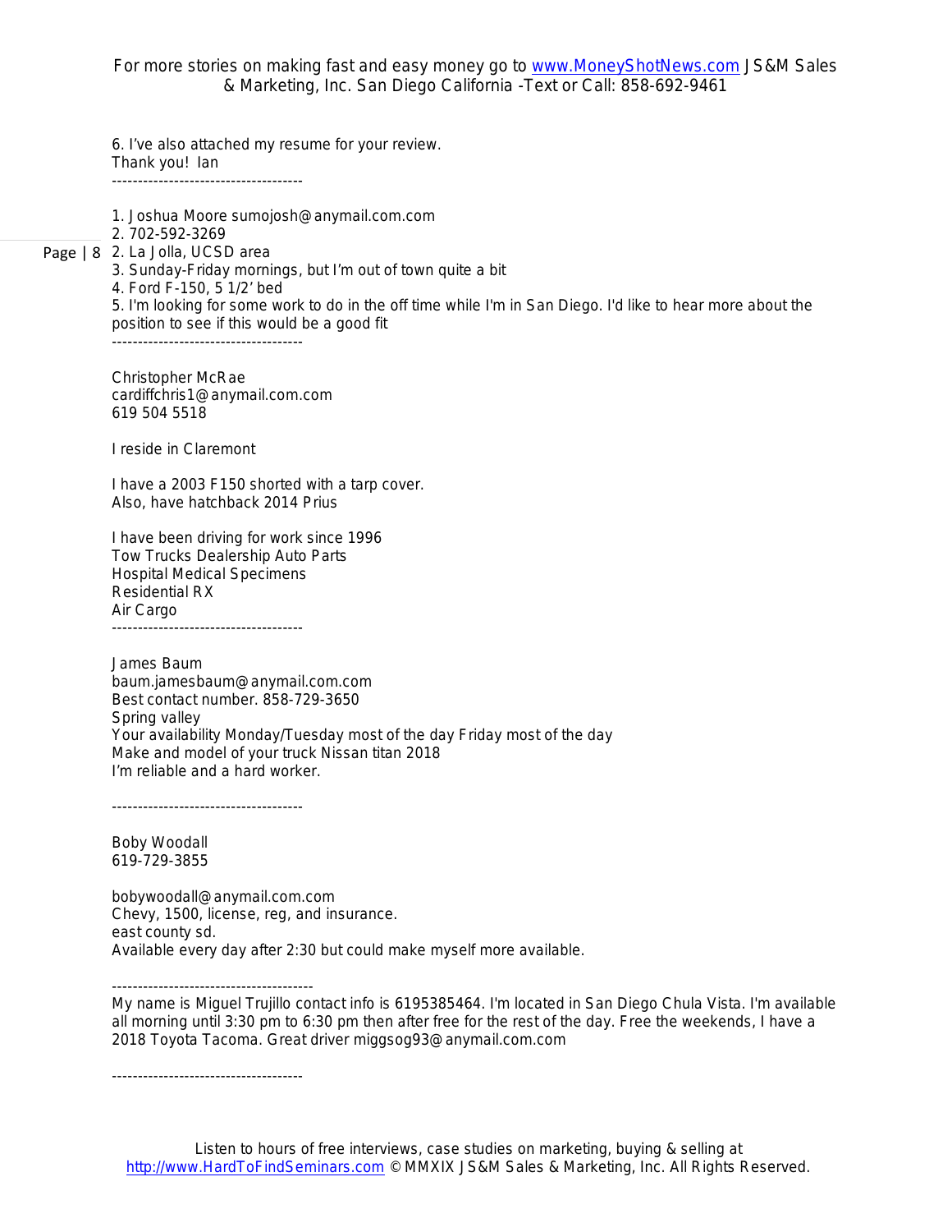*6. I've also attached my resume for your review. Thank you! Ian -------------------------------------*

*1. Joshua Moore sumojosh@anymail.com.com*

*2. 702-592-3269*

#### Page | 8 *2. La Jolla, UCSD area*

*3. Sunday-Friday mornings, but I'm out of town quite a bit*

*4. Ford F-150, 5 1/2' bed*

*5. I'm looking for some work to do in the off time while I'm in San Diego. I'd like to hear more about the position to see if this would be a good fit*

*-------------------------------------*

*Christopher McRae cardiffchris1@anymail.com.com 619 504 5518*

*I reside in Claremont*

*I have a 2003 F150 shorted with a tarp cover. Also, have hatchback 2014 Prius*

*I have been driving for work since 1996 Tow Trucks Dealership Auto Parts Hospital Medical Specimens Residential RX Air Cargo -------------------------------------*

*James Baum baum.jamesbaum@anymail.com.com Best contact number. 858-729-3650 Spring valley Your availability Monday/Tuesday most of the day Friday most of the day Make and model of your truck Nissan titan 2018 I'm reliable and a hard worker.*

*-------------------------------------*

*Boby Woodall 619-729-3855*

*bobywoodall@anymail.com.com Chevy, 1500, license, reg, and insurance. east county sd. Available every day after 2:30 but could make myself more available.* 

*--------------------------------------- My name is Miguel Trujillo contact info is 6195385464. I'm located in San Diego Chula Vista. I'm available all morning until 3:30 pm to 6:30 pm then after free for the rest of the day. Free the weekends, I have a 2018 Toyota Tacoma. Great driver miggsog93@anymail.com.com*

*-------------------------------------*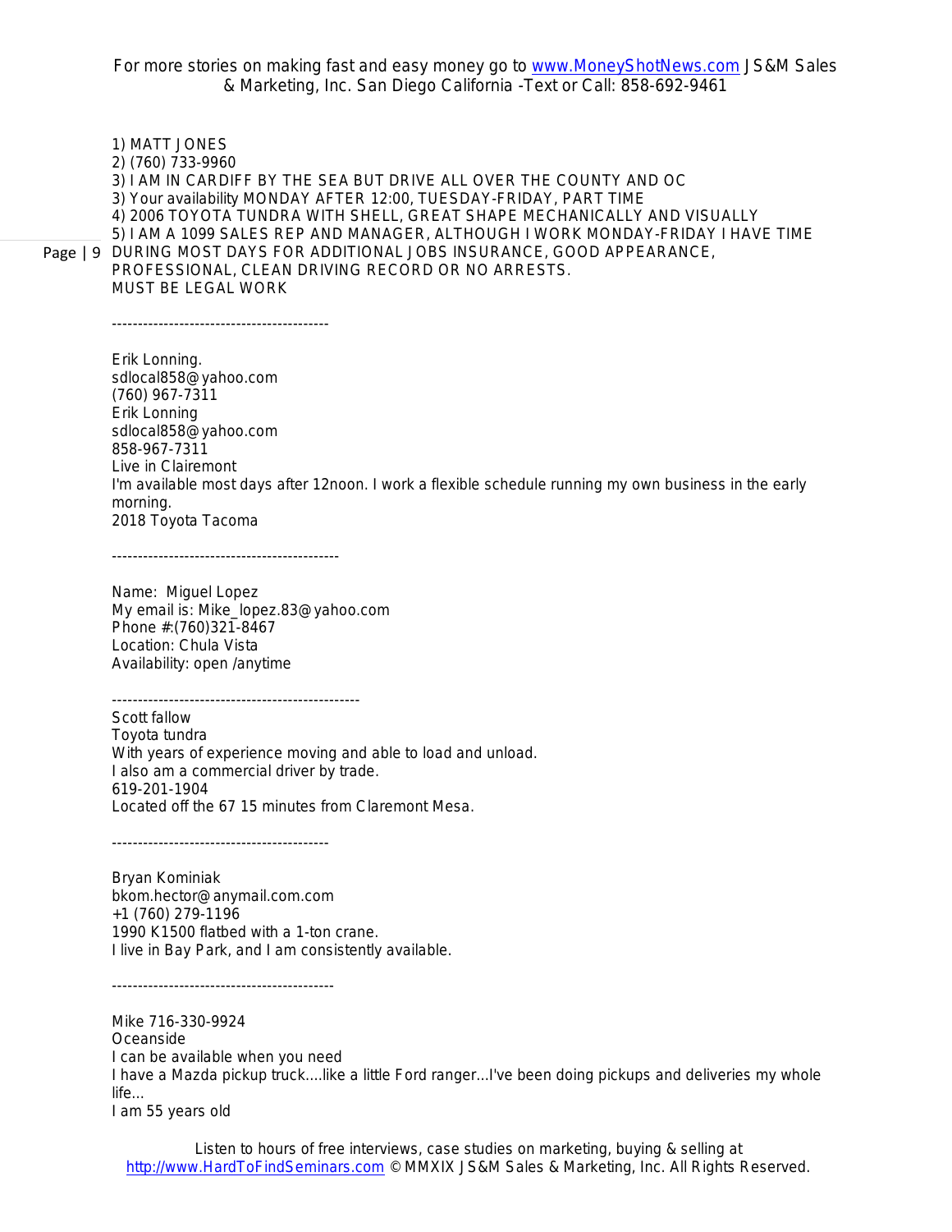Page | 9 *DURING MOST DAYS FOR ADDITIONAL JOBS INSURANCE, GOOD APPEARANCE, 1) MATT JONES 2) (760) 733-9960 3) I AM IN CARDIFF BY THE SEA BUT DRIVE ALL OVER THE COUNTY AND OC 3) Your availability MONDAY AFTER 12:00, TUESDAY-FRIDAY, PART TIME 4) 2006 TOYOTA TUNDRA WITH SHELL, GREAT SHAPE MECHANICALLY AND VISUALLY 5) I AM A 1099 SALES REP AND MANAGER, ALTHOUGH I WORK MONDAY-FRIDAY I HAVE TIME PROFESSIONAL, CLEAN DRIVING RECORD OR NO ARRESTS. MUST BE LEGAL WORK*

*------------------------------------------*

*Erik Lonning. sdlocal858@yahoo.com (760) 967-7311 Erik Lonning sdlocal858@yahoo.com 858-967-7311 Live in Clairemont I'm available most days after 12noon. I work a flexible schedule running my own business in the early morning. 2018 Toyota Tacoma*

*--------------------------------------------*

*Name: Miguel Lopez My email is: Mike\_lopez.83@yahoo.com Phone #:(760)321-8467 Location: Chula Vista Availability: open /anytime*

*------------------------------------------------ Scott fallow Toyota tundra With years of experience moving and able to load and unload. I also am a commercial driver by trade. 619-201-1904 Located off the 67 15 minutes from Claremont Mesa.*

*------------------------------------------*

*-------------------------------------------*

*Bryan Kominiak bkom.hector@anymail.com.com +1 (760) 279-1196 1990 K1500 flatbed with a 1-ton crane. I live in Bay Park, and I am consistently available.*

*Mike 716-330-9924 Oceanside I can be available when you need I have a Mazda pickup truck....like a little Ford ranger...I've been doing pickups and deliveries my whole life... I am 55 years old*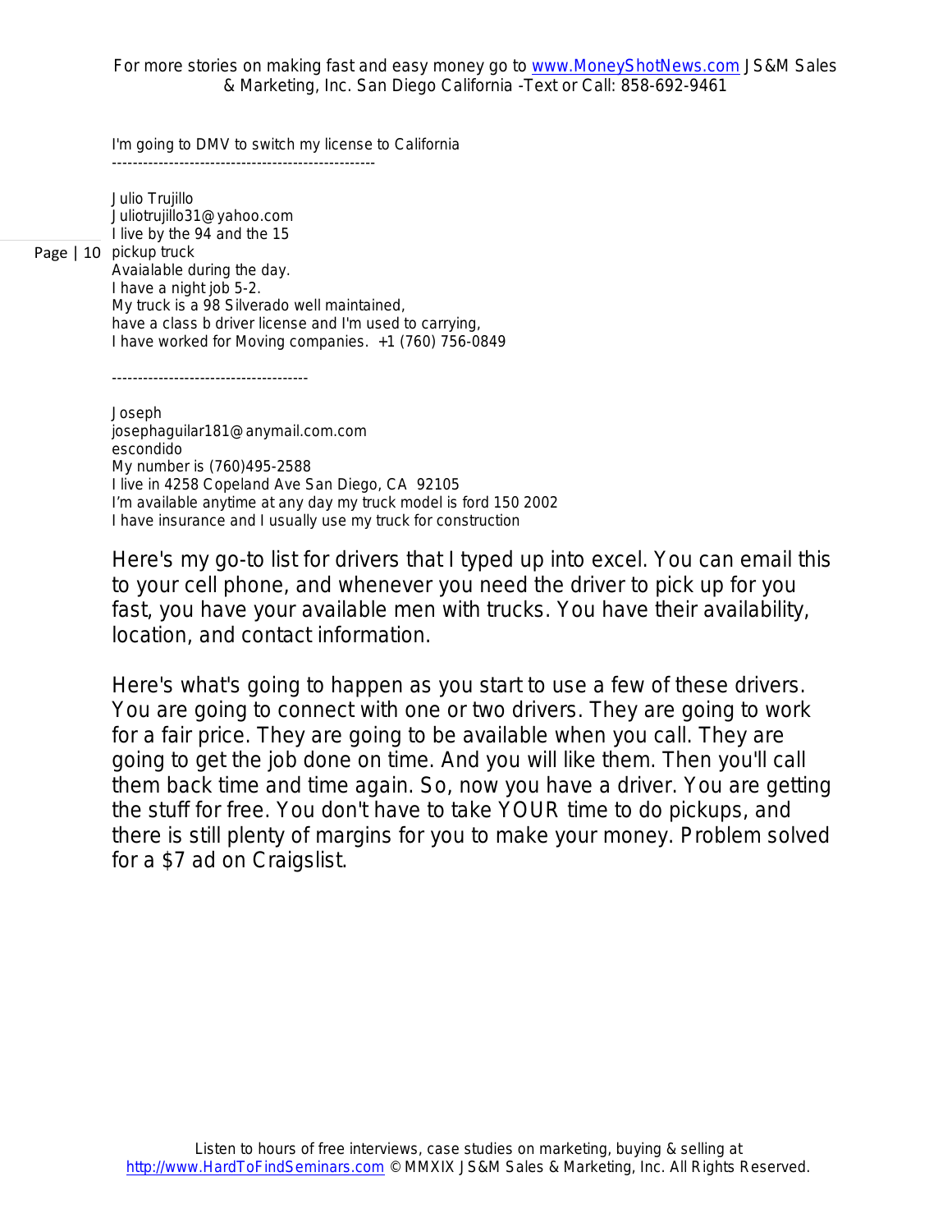*I'm going to DMV to switch my license to California ---------------------------------------------------*

*Julio Trujillo Juliotrujillo31@yahoo.com I live by the 94 and the 15*

Page | 10 *pickup truck*

*Avaialable during the day. I have a night job 5-2. My truck is a 98 Silverado well maintained, have a class b driver license and I'm used to carrying, I have worked for Moving companies. +1 (760) 756-0849*

*--------------------------------------*

*Joseph josephaguilar181@anymail.com.com escondido My number is (760)495-2588 I live in 4258 Copeland Ave San Diego, CA 92105 I'm available anytime at any day my truck model is ford 150 2002 I have insurance and I usually use my truck for construction*

Here's my go-to list for drivers that I typed up into excel. You can email this to your cell phone, and whenever you need the driver to pick up for you fast, you have your available men with trucks. You have their availability, location, and contact information.

Here's what's going to happen as you start to use a few of these drivers. You are going to connect with one or two drivers. They are going to work for a fair price. They are going to be available when you call. They are going to get the job done on time. And you will like them. Then you'll call them back time and time again. So, now you have a driver. You are getting the stuff for free. You don't have to take YOUR time to do pickups, and there is still plenty of margins for you to make your money. Problem solved for a \$7 ad on Craigslist.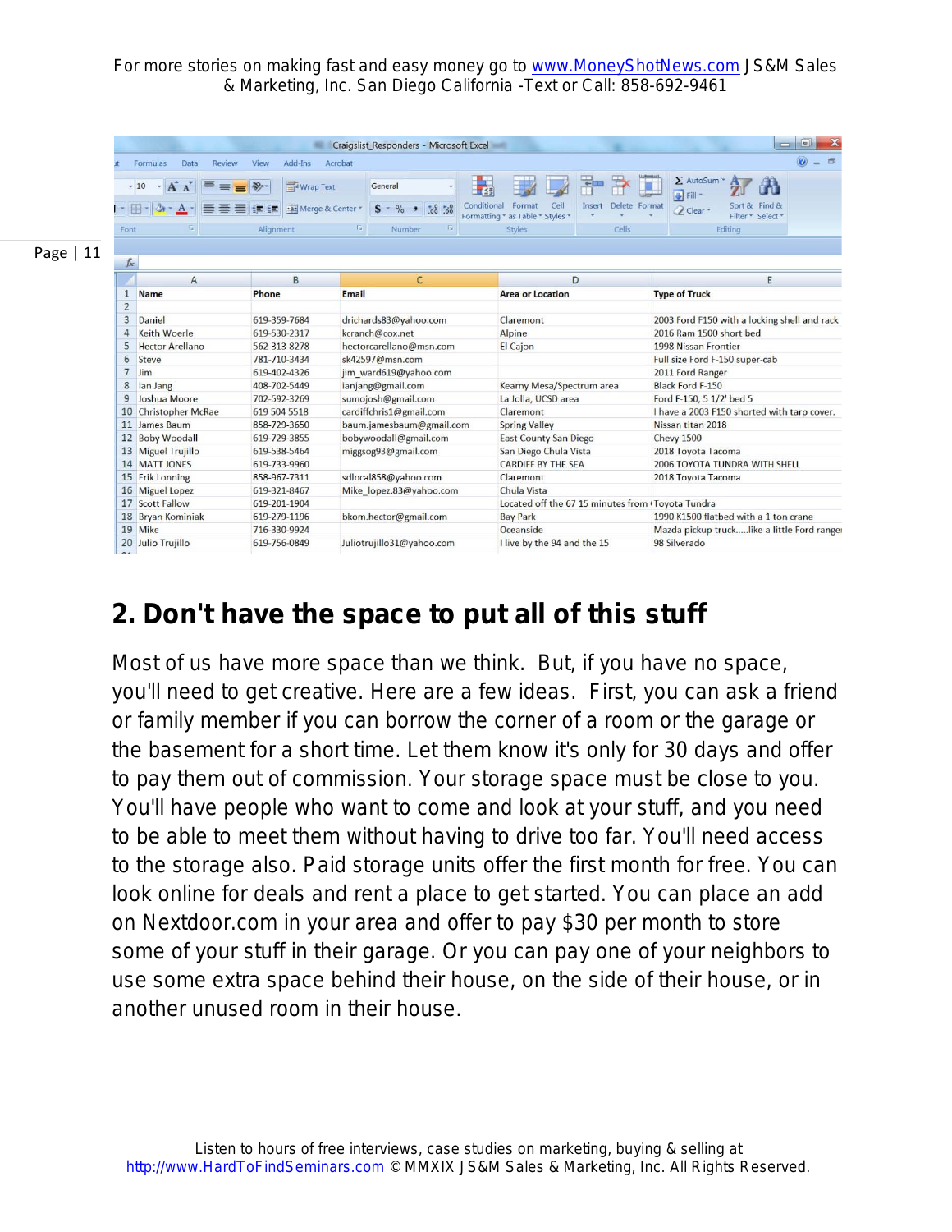|            |                                                                                                                  |                                                                  |                                | Craigslist Responders - Microsoft Excel                                                                                 |                                                                      |                       |                                                                                                                       | m<br>$\equiv$           |                                                                                                                                |                                    |  |  |  |  |
|------------|------------------------------------------------------------------------------------------------------------------|------------------------------------------------------------------|--------------------------------|-------------------------------------------------------------------------------------------------------------------------|----------------------------------------------------------------------|-----------------------|-----------------------------------------------------------------------------------------------------------------------|-------------------------|--------------------------------------------------------------------------------------------------------------------------------|------------------------------------|--|--|--|--|
|            |                                                                                                                  | Formulas<br>Data<br>Review                                       | Add-Ins<br>View                | Acrobat                                                                                                                 |                                                                      |                       |                                                                                                                       |                         |                                                                                                                                |                                    |  |  |  |  |
|            |                                                                                                                  | $A^{\uparrow}$<br>$-10$<br>×.                                    | Wrap Text                      |                                                                                                                         | General<br>15                                                        |                       |                                                                                                                       | ÷                       | Σ AutoSum<br>Fill *                                                                                                            | H                                  |  |  |  |  |
|            |                                                                                                                  | 田                                                                | Fa- Merge & Center<br>æ<br>PE. |                                                                                                                         | $300 - 30$<br>$\%$                                                   | Conditional           | Cell<br>Format<br>Formatting * as Table * Styles *                                                                    | Delete Format<br>Insert | 2 Clear -                                                                                                                      | Sort & Find &<br>Filter * Select * |  |  |  |  |
|            | $\overline{u}$<br>Alignment<br>Font                                                                              |                                                                  |                                | TS.<br>园<br>Number                                                                                                      |                                                                      | Styles<br>Cells       |                                                                                                                       | Editing                 |                                                                                                                                |                                    |  |  |  |  |
|            |                                                                                                                  |                                                                  |                                |                                                                                                                         |                                                                      |                       |                                                                                                                       |                         |                                                                                                                                |                                    |  |  |  |  |
| Page $ 11$ |                                                                                                                  | fx                                                               |                                |                                                                                                                         |                                                                      |                       |                                                                                                                       |                         |                                                                                                                                |                                    |  |  |  |  |
|            | $\overline{A}$                                                                                                   |                                                                  | B                              |                                                                                                                         | c                                                                    |                       | D                                                                                                                     |                         | E                                                                                                                              |                                    |  |  |  |  |
|            | $\mathbf{1}$                                                                                                     | <b>Name</b>                                                      | Phone                          | <b>Email</b>                                                                                                            |                                                                      |                       | <b>Area or Location</b>                                                                                               |                         | <b>Type of Truck</b>                                                                                                           |                                    |  |  |  |  |
|            | $\overline{2}$                                                                                                   |                                                                  |                                |                                                                                                                         |                                                                      |                       |                                                                                                                       |                         |                                                                                                                                |                                    |  |  |  |  |
|            | $\overline{3}$                                                                                                   | Daniel                                                           | 619-359-7684                   |                                                                                                                         | drichards83@yahoo.com                                                |                       | Claremont                                                                                                             |                         | 2003 Ford F150 with a locking shell and rack                                                                                   |                                    |  |  |  |  |
|            | <b>Keith Woerle</b><br>4<br>619-530-2317<br>5<br><b>Hector Arellano</b><br>562-313-8278                          |                                                                  |                                | kcranch@cox.net                                                                                                         |                                                                      |                       | Alpine<br><b>El Cajon</b>                                                                                             |                         | 2016 Ram 1500 short bed<br>1998 Nissan Frontier                                                                                |                                    |  |  |  |  |
|            |                                                                                                                  |                                                                  | hectorcarellano@msn.com        |                                                                                                                         |                                                                      |                       |                                                                                                                       |                         |                                                                                                                                |                                    |  |  |  |  |
|            | 6                                                                                                                | Steve                                                            | 781-710-3434                   | sk42597@msn.com                                                                                                         |                                                                      |                       |                                                                                                                       |                         | Full size Ford F-150 super-cab                                                                                                 |                                    |  |  |  |  |
| 7          |                                                                                                                  | Jim                                                              | 619-402-4326                   | jim ward619@yahoo.com                                                                                                   |                                                                      |                       |                                                                                                                       |                         | 2011 Ford Ranger                                                                                                               |                                    |  |  |  |  |
|            | 8<br>lan Jang<br>9<br>Joshua Moore<br>10<br><b>Christopher McRae</b>                                             |                                                                  | 408-702-5449                   | ianjang@gmail.com<br>sumojosh@gmail.com<br>cardiffchris1@gmail.com<br>baum.jamesbaum@gmail.com<br>bobywoodall@gmail.com |                                                                      |                       | Kearny Mesa/Spectrum area<br>La Jolla, UCSD area<br>Claremont<br><b>Spring Valley</b><br><b>East County San Diego</b> |                         | Black Ford F-150<br>Ford F-150, 5 1/2' bed 5<br>I have a 2003 F150 shorted with tarp cover.<br>Nissan titan 2018<br>Chevy 1500 |                                    |  |  |  |  |
|            |                                                                                                                  |                                                                  | 702-592-3269                   |                                                                                                                         |                                                                      |                       |                                                                                                                       |                         |                                                                                                                                |                                    |  |  |  |  |
|            |                                                                                                                  |                                                                  | 619 504 5518                   |                                                                                                                         |                                                                      |                       |                                                                                                                       |                         |                                                                                                                                |                                    |  |  |  |  |
|            |                                                                                                                  | 11 James Baum<br>858-729-3650<br>12 Boby Woodall<br>619-729-3855 |                                |                                                                                                                         |                                                                      |                       |                                                                                                                       |                         |                                                                                                                                |                                    |  |  |  |  |
|            |                                                                                                                  |                                                                  |                                |                                                                                                                         |                                                                      |                       |                                                                                                                       |                         |                                                                                                                                |                                    |  |  |  |  |
|            | <b>Miguel Trujillo</b><br>619-538-5464<br>13<br>14 MATT JONES<br>619-733-9960<br>15 Erik Lonning<br>858-967-7311 |                                                                  | miggsog93@gmail.com            |                                                                                                                         |                                                                      | San Diego Chula Vista |                                                                                                                       | 2018 Toyota Tacoma      |                                                                                                                                |                                    |  |  |  |  |
|            |                                                                                                                  |                                                                  |                                | sdlocal858@yahoo.com                                                                                                    |                                                                      |                       | <b>CARDIFF BY THE SEA</b><br>Claremont                                                                                |                         | 2006 TOYOTA TUNDRA WITH SHELL<br>2018 Toyota Tacoma                                                                            |                                    |  |  |  |  |
|            |                                                                                                                  |                                                                  |                                |                                                                                                                         |                                                                      |                       |                                                                                                                       |                         |                                                                                                                                |                                    |  |  |  |  |
|            |                                                                                                                  | 16 Miguel Lopez<br>619-321-8467                                  |                                |                                                                                                                         | Mike lopez.83@yahoo.com                                              |                       | Chula Vista                                                                                                           |                         |                                                                                                                                |                                    |  |  |  |  |
|            | 17 Scott Fallow<br>619-201-1904                                                                                  |                                                                  |                                |                                                                                                                         | Located off the 67 15 minutes from (Toyota Tundra<br><b>Bay Park</b> |                       | 1990 K1500 flatbed with a 1 ton crane                                                                                 |                         |                                                                                                                                |                                    |  |  |  |  |
|            | 18 Bryan Kominiak<br>619-279-1196                                                                                |                                                                  |                                | bkom.hector@gmail.com                                                                                                   |                                                                      |                       |                                                                                                                       |                         |                                                                                                                                |                                    |  |  |  |  |
|            |                                                                                                                  | 19 Mike                                                          | 716-330-9924                   |                                                                                                                         |                                                                      |                       | Oceanside                                                                                                             |                         | Mazda pickup trucklike a little Ford ranger                                                                                    |                                    |  |  |  |  |
|            | 20 Julio Trujillo                                                                                                |                                                                  | 619-756-0849                   | Juliotrujillo31@yahoo.com                                                                                               |                                                                      |                       | I live by the 94 and the 15                                                                                           |                         | 98 Silverado                                                                                                                   |                                    |  |  |  |  |

### **2. Don't have the space to put all of this stuff**

Most of us have more space than we think. But, if you have no space, you'll need to get creative. Here are a few ideas. First, you can ask a friend or family member if you can borrow the corner of a room or the garage or the basement for a short time. Let them know it's only for 30 days and offer to pay them out of commission. Your storage space must be close to you. You'll have people who want to come and look at your stuff, and you need to be able to meet them without having to drive too far. You'll need access to the storage also. Paid storage units offer the first month for free. You can look online for deals and rent a place to get started. You can place an add on Nextdoor.com in your area and offer to pay \$30 per month to store some of your stuff in their garage. Or you can pay one of your neighbors to use some extra space behind their house, on the side of their house, or in another unused room in their house.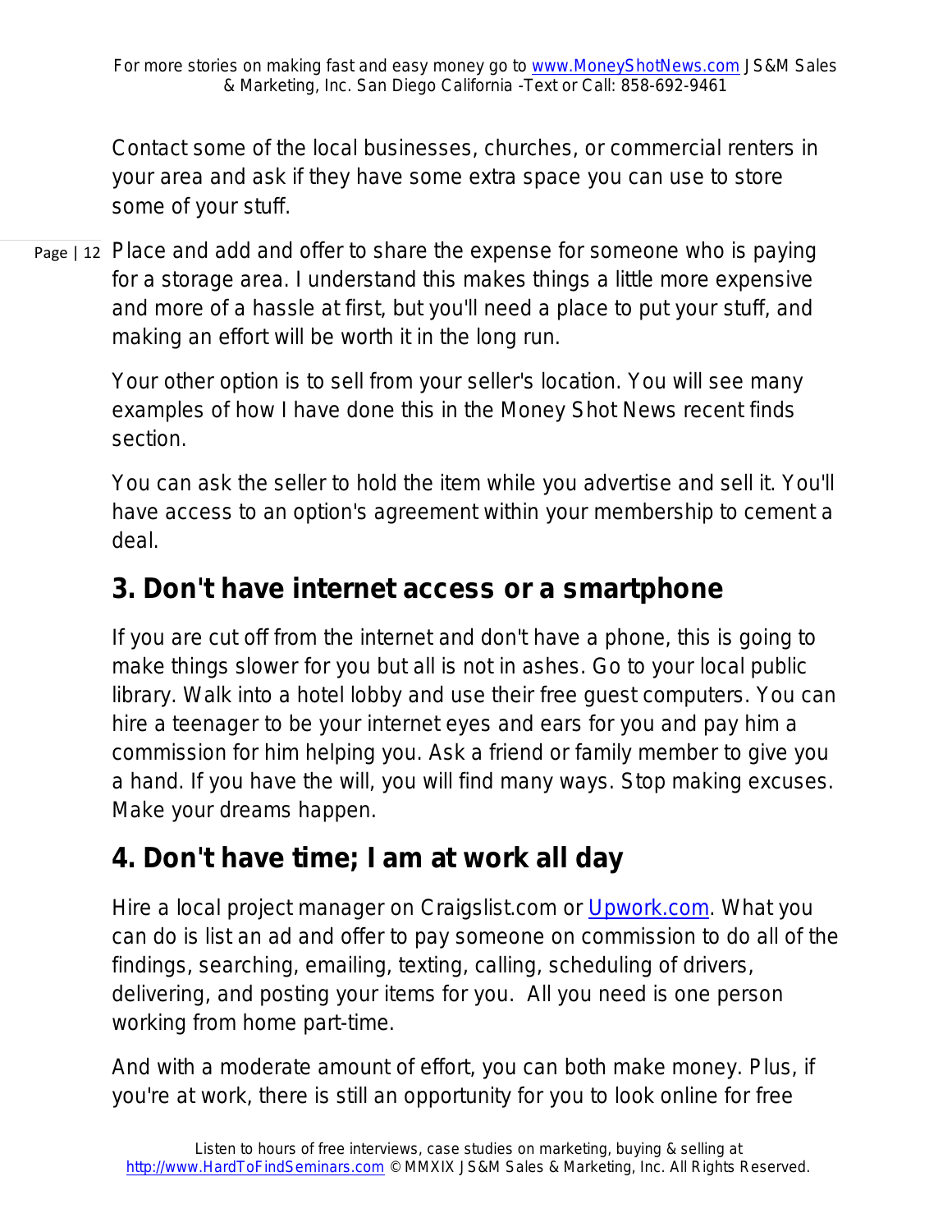Contact some of the local businesses, churches, or commercial renters in your area and ask if they have some extra space you can use to store some of your stuff.

Page | 12 Place and add and offer to share the expense for someone who is paying for a storage area. I understand this makes things a little more expensive and more of a hassle at first, but you'll need a place to put your stuff, and making an effort will be worth it in the long run.

> Your other option is to sell from your seller's location. You will see many examples of how I have done this in the Money Shot News recent finds section.

You can ask the seller to hold the item while you advertise and sell it. You'll have access to an option's agreement within your membership to cement a deal.

### **3. Don't have internet access or a smartphone**

If you are cut off from the internet and don't have a phone, this is going to make things slower for you but all is not in ashes. Go to your local public library. Walk into a hotel lobby and use their free guest computers. You can hire a teenager to be your internet eyes and ears for you and pay him a commission for him helping you. Ask a friend or family member to give you a hand. If you have the will, you will find many ways. Stop making excuses. Make your dreams happen.

### **4. Don't have time; I am at work all day**

Hire a local project manager on Craigslist.com or [Upwork.com.](http://www.upwork.com/) What you can do is list an ad and offer to pay someone on commission to do all of the findings, searching, emailing, texting, calling, scheduling of drivers, delivering, and posting your items for you. All you need is one person working from home part-time.

And with a moderate amount of effort, you can both make money. Plus, if you're at work, there is still an opportunity for you to look online for free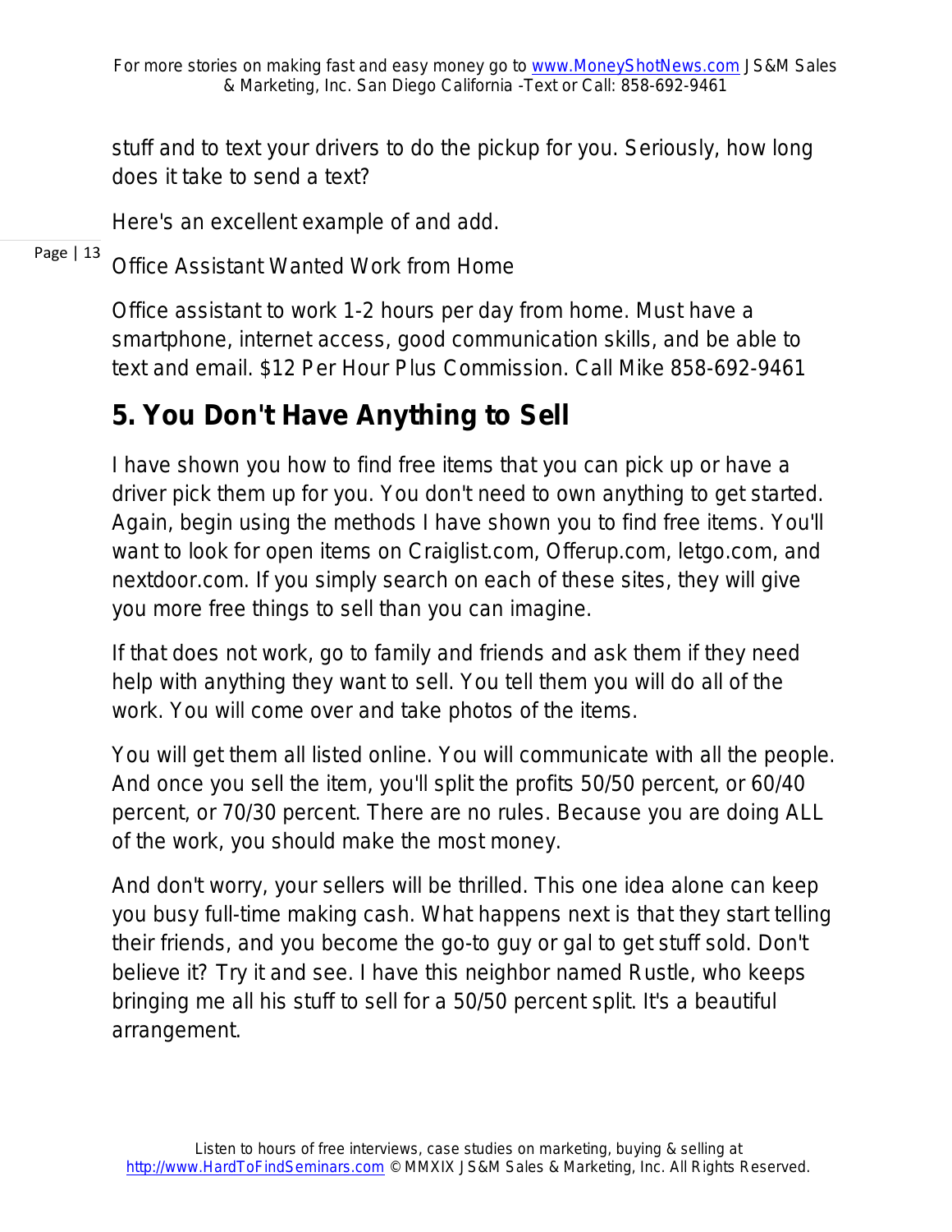stuff and to text your drivers to do the pickup for you. Seriously, how long does it take to send a text?

Here's an excellent example of and add.

Page | 13 *Office Assistant Wanted Work from Home*

> *Office assistant to work 1-2 hours per day from home. Must have a smartphone, internet access, good communication skills, and be able to text and email. \$12 Per Hour Plus Commission. Call Mike 858-692-9461*

## **5. You Don't Have Anything to Sell**

I have shown you how to find free items that you can pick up or have a driver pick them up for you. You don't need to own anything to get started. Again, begin using the methods I have shown you to find free items. You'll want to look for open items on Craiglist.com, Offerup.com, letgo.com, and nextdoor.com. If you simply search on each of these sites, they will give you more free things to sell than you can imagine.

If that does not work, go to family and friends and ask them if they need help with anything they want to sell. You tell them you will do all of the work. You will come over and take photos of the items.

You will get them all listed online. You will communicate with all the people. And once you sell the item, you'll split the profits 50/50 percent, or 60/40 percent, or 70/30 percent. There are no rules. Because you are doing ALL of the work, you should make the most money.

And don't worry, your sellers will be thrilled. This one idea alone can keep you busy full-time making cash. What happens next is that they start telling their friends, and you become the go-to guy or gal to get stuff sold. Don't believe it? Try it and see. I have this neighbor named Rustle, who keeps bringing me all his stuff to sell for a 50/50 percent split. It's a beautiful arrangement.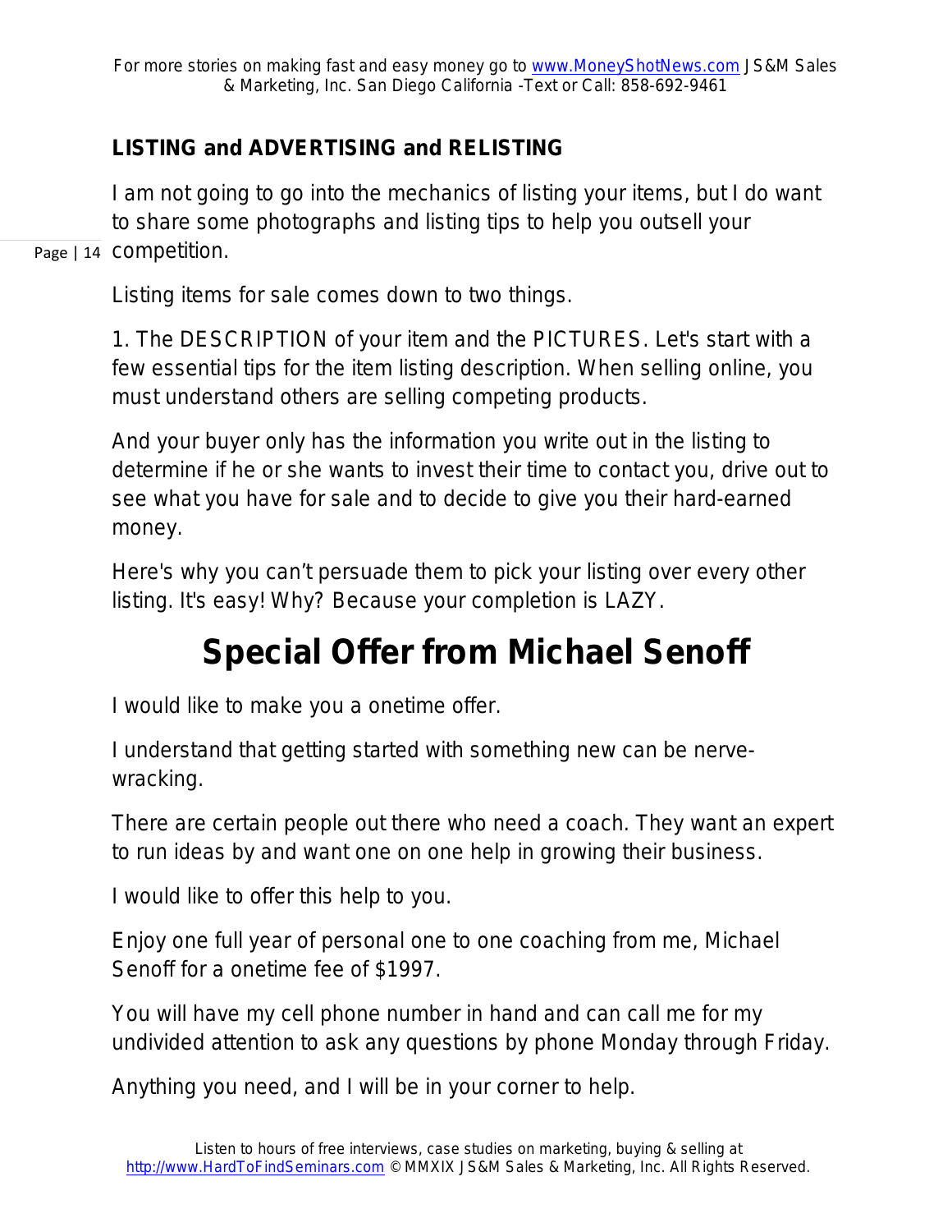### **LISTING and ADVERTISING and RELISTING**

Page | 14 COMpetition. I am not going to go into the mechanics of listing your items, but I do want to share some photographs and listing tips to help you outsell your

Listing items for sale comes down to two things.

1. The DESCRIPTION of your item and the PICTURES. Let's start with a few essential tips for the item listing description. When selling online, you must understand others are selling competing products.

And your buyer only has the information you write out in the listing to determine if he or she wants to invest their time to contact you, drive out to see what you have for sale and to decide to give you their hard-earned money.

Here's why you can't persuade them to pick your listing over every other listing. It's easy! Why? Because your completion is LAZY.

# **Special Offer from Michael Senoff**

I would like to make you a onetime offer.

I understand that getting started with something new can be nervewracking.

There are certain people out there who need a coach. They want an expert to run ideas by and want one on one help in growing their business.

I would like to offer this help to you.

Enjoy one full year of personal one to one coaching from me, Michael Senoff for a onetime fee of \$1997.

You will have my cell phone number in hand and can call me for my undivided attention to ask any questions by phone Monday through Friday.

Anything you need, and I will be in your corner to help.